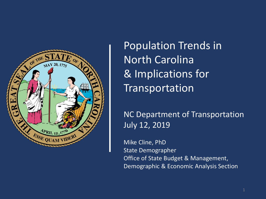

Population Trends in North Carolina & Implications for Transportation

NC Department of Transportation July 12, 2019

Mike Cline, PhD State Demographer Office of State Budget & Management, Demographic & Economic Analysis Section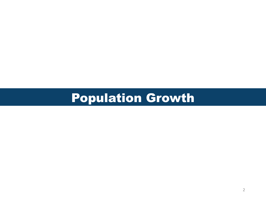# Population Growth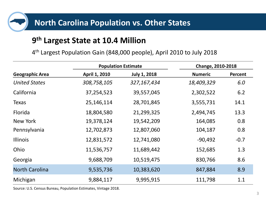

## **9 th Largest State at 10.4 Million**

4 th Largest Population Gain (848,000 people), April 2010 to July 2018

|                        | <b>Population Estimate</b> |                     | Change, 2010-2018 |                |
|------------------------|----------------------------|---------------------|-------------------|----------------|
| <b>Geographic Area</b> | April 1, 2010              | <b>July 1, 2018</b> | <b>Numeric</b>    | <b>Percent</b> |
| <b>United States</b>   | 308,758,105                | 327,167,434         | 18,409,329        | 6.0            |
| California             | 37,254,523                 | 39,557,045          | 2,302,522         | 6.2            |
| <b>Texas</b>           | 25,146,114                 | 28,701,845          | 3,555,731         | 14.1           |
| Florida                | 18,804,580                 | 21,299,325          | 2,494,745         | 13.3           |
| New York               | 19,378,124                 | 19,542,209          | 164,085           | 0.8            |
| Pennsylvania           | 12,702,873                 | 12,807,060          | 104,187           | 0.8            |
| <b>Illinois</b>        | 12,831,572                 | 12,741,080          | $-90,492$         | $-0.7$         |
| Ohio                   | 11,536,757                 | 11,689,442          | 152,685           | 1.3            |
| Georgia                | 9,688,709                  | 10,519,475          | 830,766           | 8.6            |
| <b>North Carolina</b>  | 9,535,736                  | 10,383,620          | 847,884           | 8.9            |
| Michigan               | 9,884,117                  | 9,995,915           | 111,798           | 1.1            |

Source: U.S. Census Bureau, Population Estimates, Vintage 2018.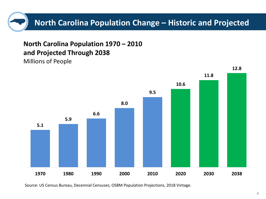

**North Carolina Population 1970 – 2010 and Projected Through 2038** Millions of People



**12.8**

Source: US Census Bureau, Decennial Censuses; OSBM Population Projections, 2018 Vintage.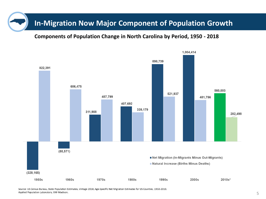### **In-Migration Now Major Component of Population Growth**

#### **Components of Population Change in North Carolina by Period, 1950 - 2018**



Source: US Census Bureau, State Population Estimates, Vintage 2018; Age-Specific Net Migration Estimates for US Counties, 1950-2010. Applied Population Laboratory, UW-Madison.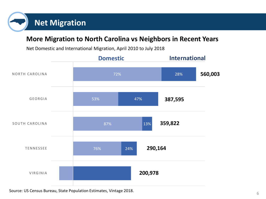# **Net Migration**

#### **More Migration to North Carolina vs Neighbors in Recent Years**

Net Domestic and International Migration, April 2010 to July 2018



Source: US Census Bureau, State Population Estimates, Vintage 2018.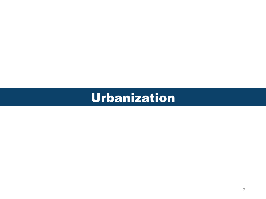# Urbanization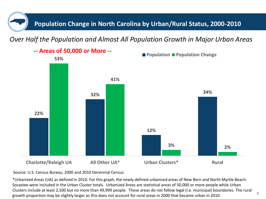**Population Change in North Carolina by Urban/Rural Status, 2000-2010**

*Over Half the Population and Almost All Population Growth in Major Urban Areas*



Source: U.S. Census Bureau, 2000 and 2010 Decennial Census

\*Urbanized Areas (UA) as defined in 2010. For this graph, the newly defined urbanized areas of New Bern and North Myrtle Beach-Socastee were included in the Urban Cluster totals. Urbanized Areas are statistical areas of 50,000 or more people while Urban Clusters include at least 2,500 but no more than 49,999 people. These areas do not follow legal (i.e. municipal) boundaries. The rural growth proportion may be slightly larger as this does not account for rural areas in 2000 that became urban in 2010.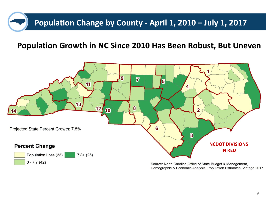# **Population Change by County - April 1, 2010 – July 1, 2017**

#### **Population Growth in NC Since 2010 Has Been Robust, But Uneven**



Source: North Carolina Office of State Budget & Management, Demographic & Economic Analysis, Population Estimates, Vintage 2017.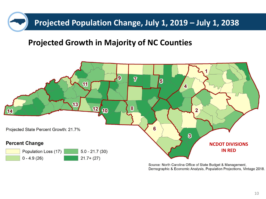# **Projected Population Change, July 1, 2019 – July 1, 2038**

### **Projected Growth in Majority of NC Counties**



Source: North Carolina Office of State Budget & Management, Demographic & Economic Analysis, Population Projections, Vintage 2018.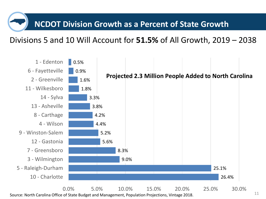## **NCDOT Division Growth as a Percent of State Growth**

#### Divisions 5 and 10 Will Account for **51.5%** of All Growth, 2019 – 2038



Source: North Carolina Office of State Budget and Management, Population Projections, Vintage 2018.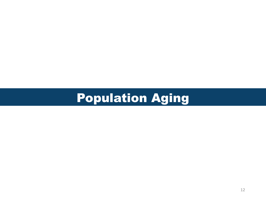# Population Aging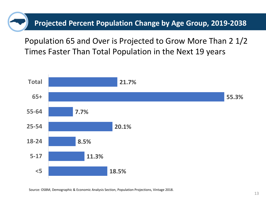**Projected Percent Population Change by Age Group, 2019-2038**

Population 65 and Over is Projected to Grow More Than 2 1/2 Times Faster Than Total Population in the Next 19 years

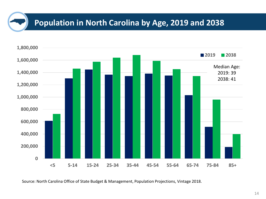## **Population in North Carolina by Age, 2019 and 2038**



Source: North Carolina Office of State Budget & Management, Population Projections, Vintage 2018.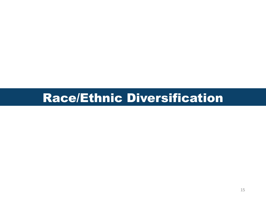# Race/Ethnic Diversification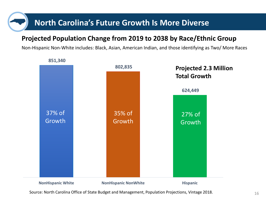## **North Carolina's Future Growth Is More Diverse**

#### **Projected Population Change from 2019 to 2038 by Race/Ethnic Group**

Non-Hispanic Non-White includes: Black, Asian, American Indian, and those identifying as Two/ More Races



**851,340** 

Source: North Carolina Office of State Budget and Management, Population Projections, Vintage 2018.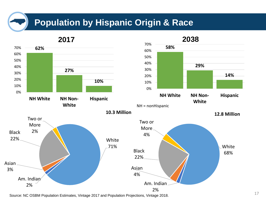## **Population by Hispanic Origin & Race**



Source: NC OSBM Population Estimates, Vintage 2017 and Population Projections, Vintage 2018.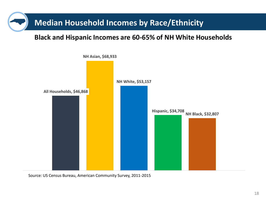## **Median Household Incomes by Race/Ethnicity**

#### **Black and Hispanic Incomes are 60-65% of NH White Households**



1 Source: US Census Bureau, American Community Survey, 2011-2015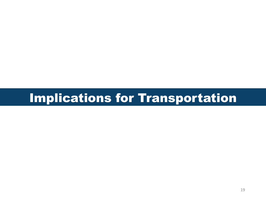# Implications for Transportation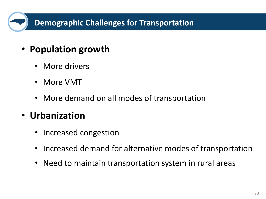## **Demographic Challenges for Transportation**

- **Population growth**
	- More drivers
	- More VMT
	- More demand on all modes of transportation

# • **Urbanization**

- Increased congestion
- Increased demand for alternative modes of transportation
- Need to maintain transportation system in rural areas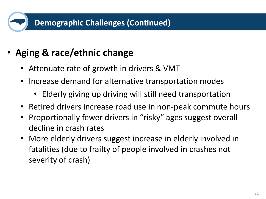# • **Aging & race/ethnic change**

- Attenuate rate of growth in drivers & VMT
- Increase demand for alternative transportation modes
	- Elderly giving up driving will still need transportation
- Retired drivers increase road use in non-peak commute hours
- Proportionally fewer drivers in "risky" ages suggest overall decline in crash rates
- More elderly drivers suggest increase in elderly involved in fatalities (due to frailty of people involved in crashes not severity of crash)